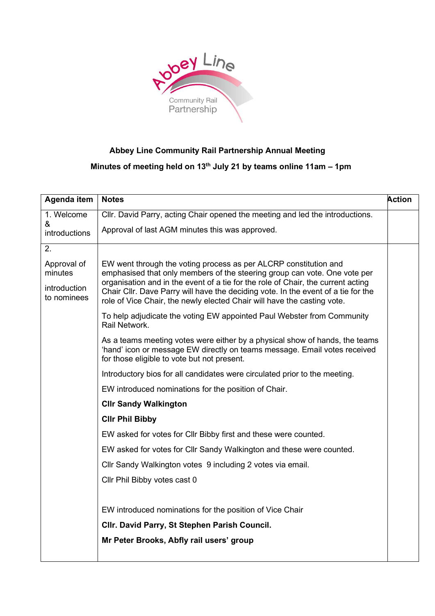

## Abbey Line Community Rail Partnership Annual Meeting

## Minutes of meeting held on 13<sup>th</sup> July 21 by teams online 11am - 1pm

| Agenda item                 | <b>Notes</b>                                                                                                                                                                                                                                                                                                                                                                                      | <b>Action</b> |  |
|-----------------------------|---------------------------------------------------------------------------------------------------------------------------------------------------------------------------------------------------------------------------------------------------------------------------------------------------------------------------------------------------------------------------------------------------|---------------|--|
| 1. Welcome                  | Cllr. David Parry, acting Chair opened the meeting and led the introductions.                                                                                                                                                                                                                                                                                                                     |               |  |
| &<br><b>introductions</b>   | Approval of last AGM minutes this was approved.                                                                                                                                                                                                                                                                                                                                                   |               |  |
| 2.                          |                                                                                                                                                                                                                                                                                                                                                                                                   |               |  |
| Approval of<br>minutes      | EW went through the voting process as per ALCRP constitution and<br>emphasised that only members of the steering group can vote. One vote per<br>organisation and in the event of a tie for the role of Chair, the current acting<br>Chair Cllr. Dave Parry will have the deciding vote. In the event of a tie for the<br>role of Vice Chair, the newly elected Chair will have the casting vote. |               |  |
| introduction<br>to nominees |                                                                                                                                                                                                                                                                                                                                                                                                   |               |  |
|                             | To help adjudicate the voting EW appointed Paul Webster from Community<br>Rail Network.                                                                                                                                                                                                                                                                                                           |               |  |
|                             | As a teams meeting votes were either by a physical show of hands, the teams<br>'hand' icon or message EW directly on teams message. Email votes received<br>for those eligible to vote but not present.                                                                                                                                                                                           |               |  |
|                             | Introductory bios for all candidates were circulated prior to the meeting.                                                                                                                                                                                                                                                                                                                        |               |  |
|                             | EW introduced nominations for the position of Chair.                                                                                                                                                                                                                                                                                                                                              |               |  |
|                             | <b>Cllr Sandy Walkington</b>                                                                                                                                                                                                                                                                                                                                                                      |               |  |
|                             | <b>CIIr Phil Bibby</b>                                                                                                                                                                                                                                                                                                                                                                            |               |  |
|                             | EW asked for votes for Cllr Bibby first and these were counted.                                                                                                                                                                                                                                                                                                                                   |               |  |
|                             | EW asked for votes for Cllr Sandy Walkington and these were counted.                                                                                                                                                                                                                                                                                                                              |               |  |
|                             | Cllr Sandy Walkington votes 9 including 2 votes via email.                                                                                                                                                                                                                                                                                                                                        |               |  |
|                             | Cllr Phil Bibby votes cast 0                                                                                                                                                                                                                                                                                                                                                                      |               |  |
|                             |                                                                                                                                                                                                                                                                                                                                                                                                   |               |  |
|                             | EW introduced nominations for the position of Vice Chair                                                                                                                                                                                                                                                                                                                                          |               |  |
|                             | CIIr. David Parry, St Stephen Parish Council.                                                                                                                                                                                                                                                                                                                                                     |               |  |
|                             | Mr Peter Brooks, Abfly rail users' group                                                                                                                                                                                                                                                                                                                                                          |               |  |
|                             |                                                                                                                                                                                                                                                                                                                                                                                                   |               |  |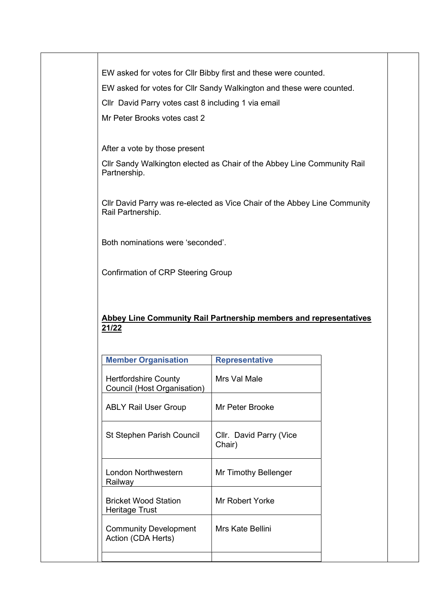EW asked for votes for Cllr Bibby first and these were counted.

EW asked for votes for Cllr Sandy Walkington and these were counted.

Cllr David Parry votes cast 8 including 1 via email

Mr Peter Brooks votes cast 2

After a vote by those present

Cllr Sandy Walkington elected as Chair of the Abbey Line Community Rail Partnership.

Cllr David Parry was re-elected as Vice Chair of the Abbey Line Community Rail Partnership.

Both nominations were 'seconded'.

Confirmation of CRP Steering Group

## Abbey Line Community Rail Partnership members and representatives 21/22

| <b>Member Organisation</b>                                 | <b>Representative</b>             |
|------------------------------------------------------------|-----------------------------------|
| <b>Hertfordshire County</b><br>Council (Host Organisation) | Mrs Val Male                      |
| <b>ABLY Rail User Group</b>                                | Mr Peter Brooke                   |
| <b>St Stephen Parish Council</b>                           | Cllr. David Parry (Vice<br>Chair) |
| London Northwestern<br>Railway                             | Mr Timothy Bellenger              |
| <b>Bricket Wood Station</b><br>Heritage Trust              | Mr Robert Yorke                   |
| <b>Community Development</b><br>Action (CDA Herts)         | Mrs Kate Bellini                  |
|                                                            |                                   |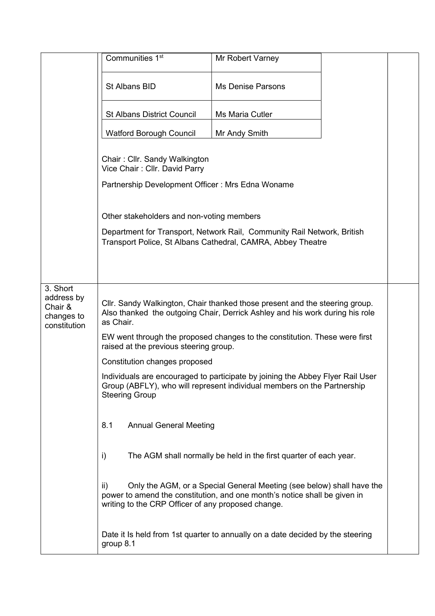|                                                                 | Communities 1 <sup>st</sup>                                                                                                                           | Mr Robert Varney                                                                                                                                            |  |  |  |
|-----------------------------------------------------------------|-------------------------------------------------------------------------------------------------------------------------------------------------------|-------------------------------------------------------------------------------------------------------------------------------------------------------------|--|--|--|
|                                                                 | St Albans BID                                                                                                                                         | <b>Ms Denise Parsons</b>                                                                                                                                    |  |  |  |
|                                                                 | <b>St Albans District Council</b>                                                                                                                     | Ms Maria Cutler                                                                                                                                             |  |  |  |
|                                                                 | <b>Watford Borough Council</b>                                                                                                                        | Mr Andy Smith                                                                                                                                               |  |  |  |
|                                                                 | Chair: Cllr. Sandy Walkington<br>Vice Chair: Cllr. David Parry                                                                                        |                                                                                                                                                             |  |  |  |
|                                                                 | Partnership Development Officer: Mrs Edna Woname                                                                                                      |                                                                                                                                                             |  |  |  |
|                                                                 | Other stakeholders and non-voting members                                                                                                             |                                                                                                                                                             |  |  |  |
|                                                                 | Department for Transport, Network Rail, Community Rail Network, British<br>Transport Police, St Albans Cathedral, CAMRA, Abbey Theatre                |                                                                                                                                                             |  |  |  |
|                                                                 |                                                                                                                                                       |                                                                                                                                                             |  |  |  |
|                                                                 |                                                                                                                                                       |                                                                                                                                                             |  |  |  |
| 3. Short<br>address by<br>Chair &<br>changes to<br>constitution | as Chair.                                                                                                                                             | Cllr. Sandy Walkington, Chair thanked those present and the steering group.<br>Also thanked the outgoing Chair, Derrick Ashley and his work during his role |  |  |  |
|                                                                 | EW went through the proposed changes to the constitution. These were first<br>raised at the previous steering group.<br>Constitution changes proposed |                                                                                                                                                             |  |  |  |
|                                                                 |                                                                                                                                                       |                                                                                                                                                             |  |  |  |
|                                                                 | <b>Steering Group</b>                                                                                                                                 | Individuals are encouraged to participate by joining the Abbey Flyer Rail User<br>Group (ABFLY), who will represent individual members on the Partnership   |  |  |  |
|                                                                 | 8.1<br><b>Annual General Meeting</b>                                                                                                                  |                                                                                                                                                             |  |  |  |
|                                                                 | i)                                                                                                                                                    | The AGM shall normally be held in the first quarter of each year.                                                                                           |  |  |  |
|                                                                 | ii)<br>writing to the CRP Officer of any proposed change.                                                                                             | Only the AGM, or a Special General Meeting (see below) shall have the<br>power to amend the constitution, and one month's notice shall be given in          |  |  |  |
|                                                                 | group 8.1                                                                                                                                             | Date it Is held from 1st quarter to annually on a date decided by the steering                                                                              |  |  |  |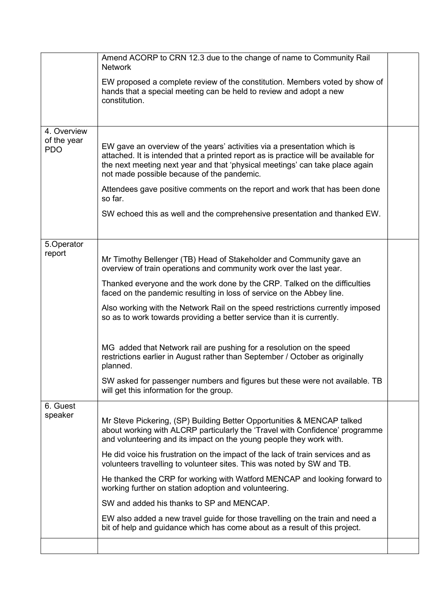|                           | Amend ACORP to CRN 12.3 due to the change of name to Community Rail<br><b>Network</b>                                                                                                                                                                                                         |  |  |  |
|---------------------------|-----------------------------------------------------------------------------------------------------------------------------------------------------------------------------------------------------------------------------------------------------------------------------------------------|--|--|--|
|                           | EW proposed a complete review of the constitution. Members voted by show of<br>hands that a special meeting can be held to review and adopt a new<br>constitution.                                                                                                                            |  |  |  |
| 4. Overview               |                                                                                                                                                                                                                                                                                               |  |  |  |
| of the year<br><b>PDO</b> | EW gave an overview of the years' activities via a presentation which is<br>attached. It is intended that a printed report as is practice will be available for<br>the next meeting next year and that 'physical meetings' can take place again<br>not made possible because of the pandemic. |  |  |  |
|                           | Attendees gave positive comments on the report and work that has been done<br>so far.                                                                                                                                                                                                         |  |  |  |
|                           | SW echoed this as well and the comprehensive presentation and thanked EW.                                                                                                                                                                                                                     |  |  |  |
| 5.Operator                |                                                                                                                                                                                                                                                                                               |  |  |  |
| report                    | Mr Timothy Bellenger (TB) Head of Stakeholder and Community gave an<br>overview of train operations and community work over the last year.                                                                                                                                                    |  |  |  |
|                           | Thanked everyone and the work done by the CRP. Talked on the difficulties<br>faced on the pandemic resulting in loss of service on the Abbey line.                                                                                                                                            |  |  |  |
|                           | Also working with the Network Rail on the speed restrictions currently imposed<br>so as to work towards providing a better service than it is currently.                                                                                                                                      |  |  |  |
|                           | MG added that Network rail are pushing for a resolution on the speed<br>restrictions earlier in August rather than September / October as originally<br>planned.                                                                                                                              |  |  |  |
|                           | SW asked for passenger numbers and figures but these were not available. TB<br>will get this information for the group.                                                                                                                                                                       |  |  |  |
| 6. Guest<br>speaker       |                                                                                                                                                                                                                                                                                               |  |  |  |
|                           | Mr Steve Pickering, (SP) Building Better Opportunities & MENCAP talked<br>about working with ALCRP particularly the 'Travel with Confidence' programme<br>and volunteering and its impact on the young people they work with.                                                                 |  |  |  |
|                           | He did voice his frustration on the impact of the lack of train services and as<br>volunteers travelling to volunteer sites. This was noted by SW and TB.                                                                                                                                     |  |  |  |
|                           | He thanked the CRP for working with Watford MENCAP and looking forward to<br>working further on station adoption and volunteering.                                                                                                                                                            |  |  |  |
|                           | SW and added his thanks to SP and MENCAP.                                                                                                                                                                                                                                                     |  |  |  |
|                           | EW also added a new travel guide for those travelling on the train and need a<br>bit of help and guidance which has come about as a result of this project.                                                                                                                                   |  |  |  |
|                           |                                                                                                                                                                                                                                                                                               |  |  |  |